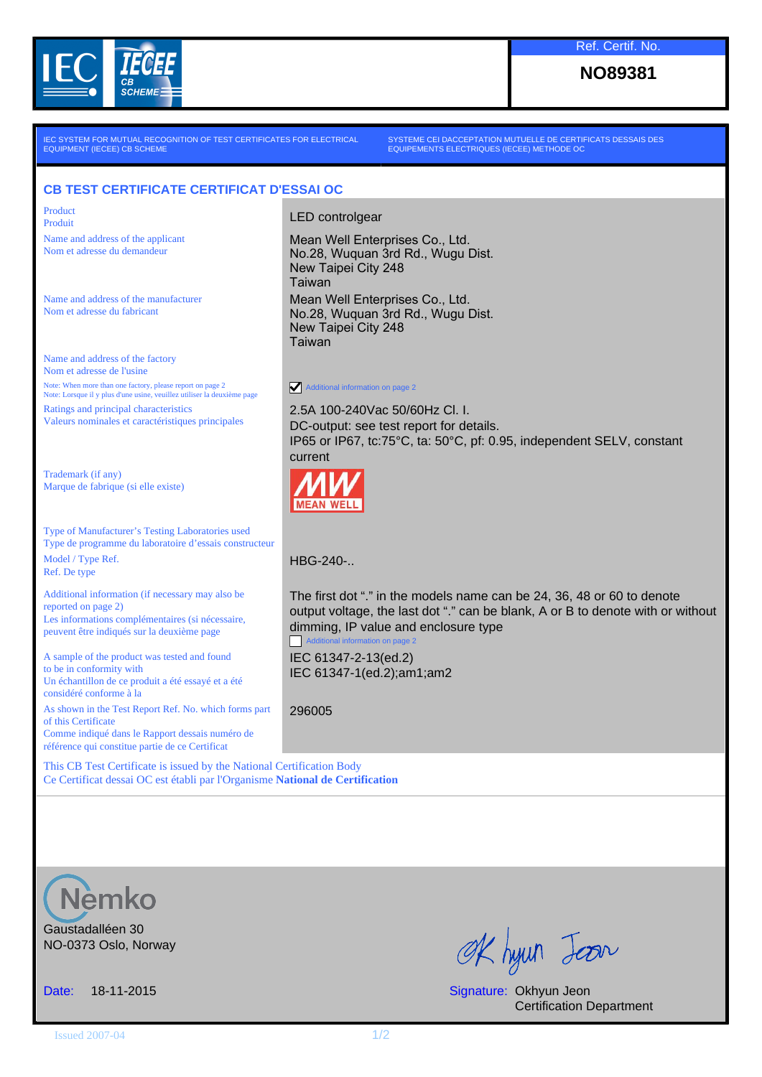

**NO89381**

IEC SYSTEM FOR MUTUAL RECOGNITION OF TEST CERTIFICATES FOR ELECTRICAL EQUIPMENT (IECEE) CB SCHEME

SYSTEME CEI DACCEPTATION MUTUELLE DE CERTIFICATS DESSAIS DES EQUIPEMENTS ELECTRIQUES (IECEE) METHODE OC

## **CB TEST CERTIFICATE CERTIFICAT D'ESSAI OC**

Product

Name and address of the applicant Nom et adresse du demandeur

Name and address of the manufacturer Nom et adresse du fabricant

Name and address of the factory Nom et adresse de l'usine Note: When more than one factory, please report on page 2 Note: Lorsque il y plus d'une usine, veuillez utiliser la deuxième page Ratings and principal characteristics

Valeurs nominales et caractéristiques principales

Trademark (if any) Marque de fabrique (si elle existe)

Type of Manufacturer's Testing Laboratories used Type de programme du laboratoire d'essais constructeur Model / Type Ref. Ref. De type

Additional information (if necessary may also be reported on page 2) Les informations complémentaires (si nécessaire, peuvent être indiqués sur la deuxième page

A sample of the product was tested and found to be in conformity with Un échantillon de ce produit a été essayé et a été considéré conforme à la

As shown in the Test Report Ref. No. which forms part of this Certificate Comme indiqué dans le Rapport dessais numéro de référence qui constitue partie de ce Certificat

This CB Test Certificate is issued by the National Certification Body Ce Certificat dessai OC est établi par l'Organisme **National de Certification**

Product<br>Produit Produit

Mean Well Enterprises Co., Ltd. No.28, Wuquan 3rd Rd., Wugu Dist. New Taipei City 248 Taiwan Mean Well Enterprises Co., Ltd. No.28, Wuquan 3rd Rd., Wugu Dist. New Taipei City 248 Taiwan

Additional information on page 2

2.5A 100-240Vac 50/60Hz Cl. I. DC-output: see test report for details. IP65 or IP67, tc:75°C, ta: 50°C, pf: 0.95, independent SELV, constant current



HBG-240-..

The first dot "." in the models name can be 24, 36, 48 or 60 to denote output voltage, the last dot "." can be blank, A or B to denote with or without dimming, IP value and enclosure type Additional information on page 2

IEC 61347-2-13(ed.2) IEC 61347-1(ed.2);am1;am2

296005



Gaustadalléen 30 NO-0373 Oslo, Norway

OK hyun Jean

Date: 18-11-2015 Signature: Okhyun Jeon Certification Department